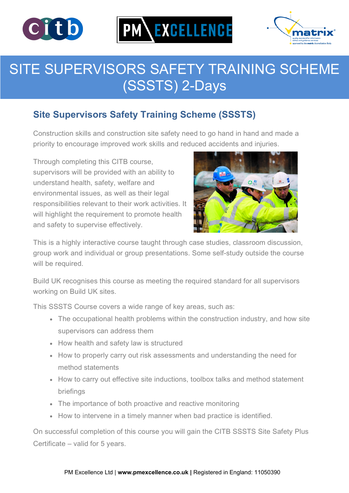



### SITE SUPERVISORS SAFETY TRAINING SCHEME (SSSTS) 2-Days

### **Site Supervisors Safety Training Scheme (SSSTS)**

Construction skills and construction site safety need to go hand in hand and made a priority to encourage improved work skills and reduced accidents and injuries.

Through completing this CITB course, supervisors will be provided with an ability to understand health, safety, welfare and environmental issues, as well as their legal responsibilities relevant to their work activities. It will highlight the requirement to promote health and safety to supervise effectively.



This is a highly interactive course taught through case studies, classroom discussion, group work and individual or group presentations. Some self-study outside the course will be required.

Build UK recognises this course as meeting the required standard for all supervisors working on Build UK sites.

This SSSTS Course covers a wide range of key areas, such as:

- The occupational health problems within the construction industry, and how site supervisors can address them
- How health and safety law is structured
- How to properly carry out risk assessments and understanding the need for method statements
- How to carry out effective site inductions, toolbox talks and method statement briefings
- The importance of both proactive and reactive monitoring
- How to intervene in a timely manner when bad practice is identified.

On successful completion of this course you will gain the CITB SSSTS Site Safety Plus Certificate – valid for 5 years.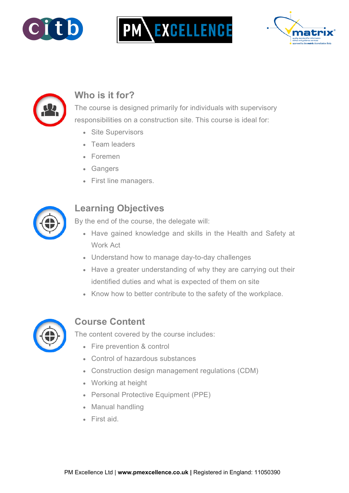

## **EXCELLENCE**





### **Who is it for?**

The course is designed primarily for individuals with supervisory responsibilities on a construction site. This course is ideal for:

- Site Supervisors
- Team leaders
- Foremen
- Gangers
- First line managers.



### **Learning Objectives**

By the end of the course, the delegate will:

- Have gained knowledge and skills in the Health and Safety at Work Act
- Understand how to manage day-to-day challenges
- Have a greater understanding of why they are carrying out their identified duties and what is expected of them on site
- Know how to better contribute to the safety of the workplace.



#### **Course Content**

The content covered by the course includes:

- Fire prevention & control
- Control of hazardous substances
- Construction design management regulations (CDM)
- Working at height
- Personal Protective Equipment (PPE)
- Manual handling
- First aid.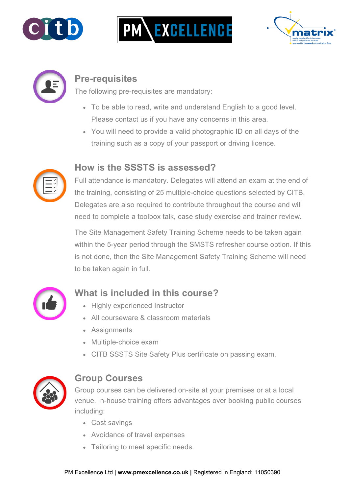

# **EXCELLENCE**





### **Pre-requisites**

The following pre-requisites are mandatory:

- To be able to read, write and understand English to a good level. Please contact us if you have any concerns in this area.
- You will need to provide a valid photographic ID on all days of the training such as a copy of your passport or driving licence.



### **How is the SSSTS is assessed?**

Full attendance is mandatory. Delegates will attend an exam at the end of the training, consisting of 25 multiple-choice questions selected by CITB. Delegates are also required to contribute throughout the course and will need to complete a toolbox talk, case study exercise and trainer review.

The Site Management Safety Training Scheme needs to be taken again within the 5-year period through the SMSTS refresher course option. If this is not done, then the Site Management Safety Training Scheme will need to be taken again in full.



### **What is included in this course?**

- Highly experienced Instructor
- All courseware & classroom materials
- Assignments
- Multiple-choice exam
- CITB SSSTS Site Safety Plus certificate on passing exam.



#### **Group Courses**

Group courses can be delivered on-site at your premises or at a local venue. In-house training offers advantages over booking public courses including:

- Cost savings
- Avoidance of travel expenses
- Tailoring to meet specific needs.